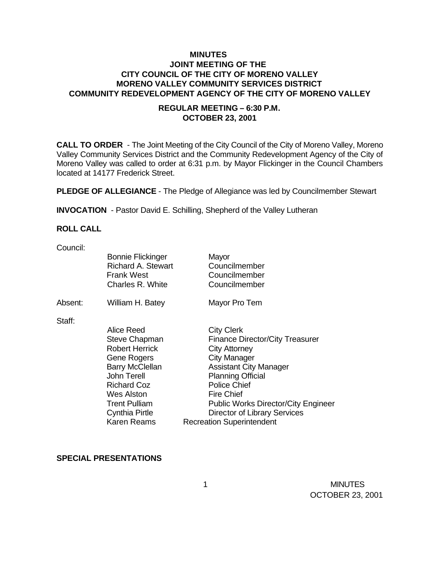## **MINUTES JOINT MEETING OF THE CITY COUNCIL OF THE CITY OF MORENO VALLEY MORENO VALLEY COMMUNITY SERVICES DISTRICT COMMUNITY REDEVELOPMENT AGENCY OF THE CITY OF MORENO VALLEY**

## **REGULAR MEETING – 6:30 P.M. OCTOBER 23, 2001**

**CALL TO ORDER** - The Joint Meeting of the City Council of the City of Moreno Valley, Moreno Valley Community Services District and the Community Redevelopment Agency of the City of Moreno Valley was called to order at 6:31 p.m. by Mayor Flickinger in the Council Chambers located at 14177 Frederick Street.

**PLEDGE OF ALLEGIANCE** - The Pledge of Allegiance was led by Councilmember Stewart

**INVOCATION** - Pastor David E. Schilling, Shepherd of the Valley Lutheran

#### **ROLL CALL**

Council:

|         | <b>Bonnie Flickinger</b><br><b>Richard A. Stewart</b><br><b>Frank West</b><br>Charles R. White                                                                                         | Mayor<br>Councilmember<br>Councilmember<br>Councilmember                                                                                                                                                                                                   |
|---------|----------------------------------------------------------------------------------------------------------------------------------------------------------------------------------------|------------------------------------------------------------------------------------------------------------------------------------------------------------------------------------------------------------------------------------------------------------|
| Absent: | William H. Batey                                                                                                                                                                       | Mayor Pro Tem                                                                                                                                                                                                                                              |
| Staff:  | Alice Reed<br><b>Steve Chapman</b><br><b>Robert Herrick</b><br>Gene Rogers<br><b>Barry McClellan</b><br>John Terell<br><b>Richard Coz</b><br><b>Wes Alston</b><br><b>Trent Pulliam</b> | <b>City Clerk</b><br><b>Finance Director/City Treasurer</b><br><b>City Attorney</b><br>City Manager<br><b>Assistant City Manager</b><br><b>Planning Official</b><br><b>Police Chief</b><br><b>Fire Chief</b><br><b>Public Works Director/City Engineer</b> |
|         | Cynthia Pirtle<br><b>Karen Reams</b>                                                                                                                                                   | Director of Library Services<br><b>Recreation Superintendent</b>                                                                                                                                                                                           |
|         |                                                                                                                                                                                        |                                                                                                                                                                                                                                                            |

#### **SPECIAL PRESENTATIONS**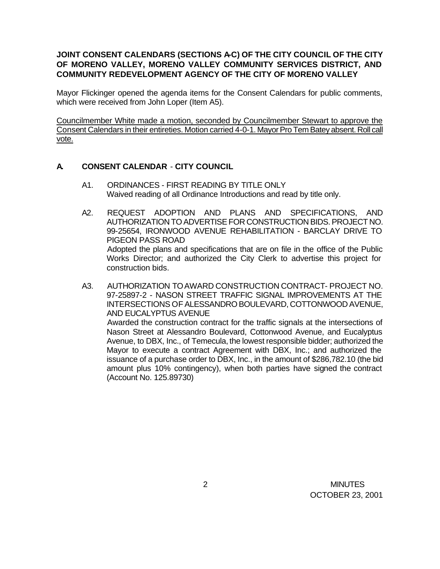## JOINT CONSENT CALENDARS (SECTIONS A-C) OF THE CITY COUNCIL OF THE CITY **OF MORENO VALLEY, MORENO VALLEY COMMUNITY SERVICES DISTRICT, AND COMMUNITY REDEVELOPMENT AGENCY OF THE CITY OF MORENO VALLEY**

Mayor Flickinger opened the agenda items for the Consent Calendars for public comments, which were received from John Loper (Item A5).

Councilmember White made a motion, seconded by Councilmember Stewart to approve the Consent Calendars in their entireties. Motion carried 4-0-1. Mayor Pro Tem Batey absent. Roll call vote.

## **A. CONSENT CALENDAR** - **CITY COUNCIL**

- A1. ORDINANCES FIRST READING BY TITLE ONLY Waived reading of all Ordinance Introductions and read by title only.
- A2. REQUEST ADOPTION AND PLANS AND SPECIFICATIONS, AND AUTHORIZATION TO ADVERTISE FOR CONSTRUCTION BIDS. PROJECT NO. 99-25654, IRONWOOD AVENUE REHABILITATION - BARCLAY DRIVE TO PIGEON PASS ROAD Adopted the plans and specifications that are on file in the office of the Public Works Director; and authorized the City Clerk to advertise this project for construction bids.
- A3. AUTHORIZATION TO AWARD CONSTRUCTION CONTRACT- PROJECT NO. 97-25897-2 - NASON STREET TRAFFIC SIGNAL IMPROVEMENTS AT THE INTERSECTIONS OF ALESSANDRO BOULEVARD, COTTONWOOD AVENUE, AND EUCALYPTUS AVENUE

Awarded the construction contract for the traffic signals at the intersections of Nason Street at Alessandro Boulevard, Cottonwood Avenue, and Eucalyptus Avenue, to DBX, Inc., of Temecula, the lowest responsible bidder; authorized the Mayor to execute a contract Agreement with DBX, Inc.; and authorized the issuance of a purchase order to DBX, Inc., in the amount of \$286,782.10 (the bid amount plus 10% contingency), when both parties have signed the contract (Account No. 125.89730)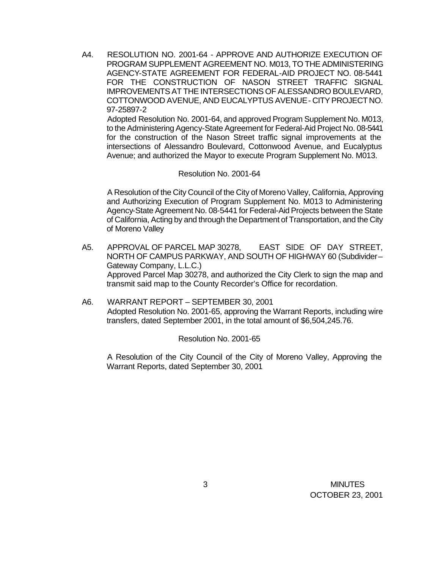A4. RESOLUTION NO. 2001-64 - APPROVE AND AUTHORIZE EXECUTION OF PROGRAM SUPPLEMENT AGREEMENT NO. M013, TO THE ADMINISTERING AGENCY-STATE AGREEMENT FOR FEDERAL-AID PROJECT NO. 08-5441 FOR THE CONSTRUCTION OF NASON STREET TRAFFIC SIGNAL IMPROVEMENTS AT THE INTERSECTIONS OF ALESSANDRO BOULEVARD, COTTONWOOD AVENUE, AND EUCALYPTUS AVENUE - CITY PROJECT NO. 97-25897-2

Adopted Resolution No. 2001-64, and approved Program Supplement No. M013, to the Administering Agency-State Agreement for Federal-Aid Project No. 08-5441 for the construction of the Nason Street traffic signal improvements at the intersections of Alessandro Boulevard, Cottonwood Avenue, and Eucalyptus Avenue; and authorized the Mayor to execute Program Supplement No. M013.

#### Resolution No. 2001-64

A Resolution of the City Council of the City of Moreno Valley, California, Approving and Authorizing Execution of Program Supplement No. M013 to Administering Agency-State Agreement No. 08-5441 for Federal-Aid Projects between the State of California, Acting by and through the Department of Transportation, and the City of Moreno Valley

- A5. APPROVAL OF PARCEL MAP 30278, EAST SIDE OF DAY STREET, NORTH OF CAMPUS PARKWAY, AND SOUTH OF HIGHWAY 60 (Subdivider – Gateway Company, L.L.C.) Approved Parcel Map 30278, and authorized the City Clerk to sign the map and transmit said map to the County Recorder's Office for recordation.
- A6. WARRANT REPORT SEPTEMBER 30, 2001 Adopted Resolution No. 2001-65, approving the Warrant Reports, including wire transfers, dated September 2001, in the total amount of \$6,504,245.76.

#### Resolution No. 2001-65

A Resolution of the City Council of the City of Moreno Valley, Approving the Warrant Reports, dated September 30, 2001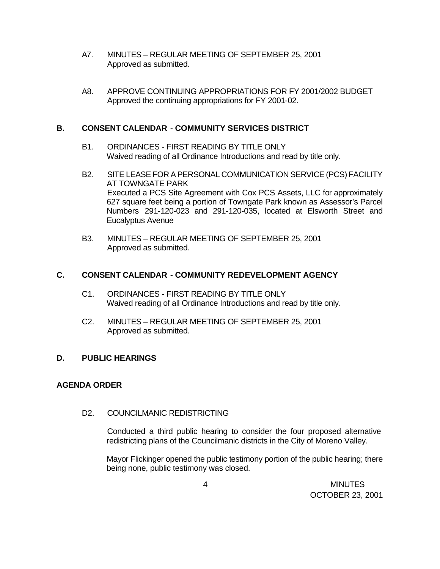- A7. MINUTES REGULAR MEETING OF SEPTEMBER 25, 2001 Approved as submitted.
- A8. APPROVE CONTINUING APPROPRIATIONS FOR FY 2001/2002 BUDGET Approved the continuing appropriations for FY 2001-02.

## **B. CONSENT CALENDAR** - **COMMUNITY SERVICES DISTRICT**

- B1. ORDINANCES FIRST READING BY TITLE ONLY Waived reading of all Ordinance Introductions and read by title only.
- B2. SITE LEASE FOR A PERSONAL COMMUNICATION SERVICE (PCS) FACILITY AT TOWNGATE PARK Executed a PCS Site Agreement with Cox PCS Assets, LLC for approximately 627 square feet being a portion of Towngate Park known as Assessor's Parcel Numbers 291-120-023 and 291-120-035, located at Elsworth Street and Eucalyptus Avenue
- B3. MINUTES REGULAR MEETING OF SEPTEMBER 25, 2001 Approved as submitted.

# **C. CONSENT CALENDAR** - **COMMUNITY REDEVELOPMENT AGENCY**

- C1. ORDINANCES FIRST READING BY TITLE ONLY Waived reading of all Ordinance Introductions and read by title only.
- C2. MINUTES REGULAR MEETING OF SEPTEMBER 25, 2001 Approved as submitted.

# **D. PUBLIC HEARINGS**

## **AGENDA ORDER**

## D2. COUNCILMANIC REDISTRICTING

Conducted a third public hearing to consider the four proposed alternative redistricting plans of the Councilmanic districts in the City of Moreno Valley.

Mayor Flickinger opened the public testimony portion of the public hearing; there being none, public testimony was closed.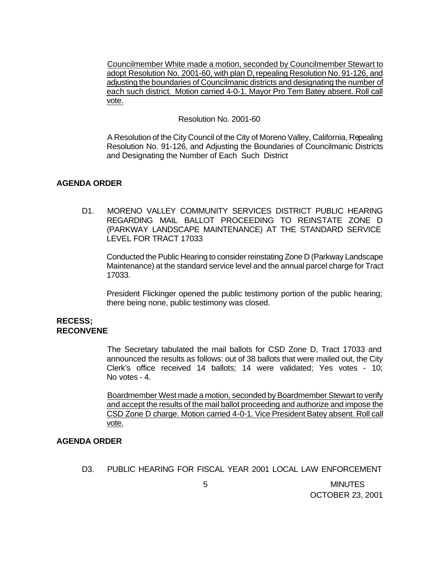Councilmember White made a motion, seconded by Councilmember Stewart to adopt Resolution No. 2001-60, with plan D, repealing Resolution No. 91-126, and adjusting the boundaries of Councilmanic districts and designating the number of each such district. Motion carried 4-0-1. Mayor Pro Tem Batey absent. Roll call vote.

#### Resolution No. 2001-60

A Resolution of the City Council of the City of Moreno Valley, California, Repealing Resolution No. 91-126, and Adjusting the Boundaries of Councilmanic Districts and Designating the Number of Each Such District

## **AGENDA ORDER**

D1. MORENO VALLEY COMMUNITY SERVICES DISTRICT PUBLIC HEARING REGARDING MAIL BALLOT PROCEEDING TO REINSTATE ZONE D (PARKWAY LANDSCAPE MAINTENANCE) AT THE STANDARD SERVICE LEVEL FOR TRACT 17033

Conducted the Public Hearing to consider reinstating Zone D (Parkway Landscape Maintenance) at the standard service level and the annual parcel charge for Tract 17033.

President Flickinger opened the public testimony portion of the public hearing; there being none, public testimony was closed.

#### **RECESS; RECONVENE**

The Secretary tabulated the mail ballots for CSD Zone D, Tract 17033 and announced the results as follows: out of 38 ballots that were mailed out, the City Clerk's office received 14 ballots; 14 were validated; Yes votes - 10; No votes - 4.

Boardmember West made a motion, seconded by Boardmember Stewart to verify and accept the results of the mail ballot proceeding and authorize and impose the CSD Zone D charge. Motion carried 4-0-1. Vice President Batey absent. Roll call vote.

#### **AGENDA ORDER**

D3. PUBLIC HEARING FOR FISCAL YEAR 2001 LOCAL LAW ENFORCEMENT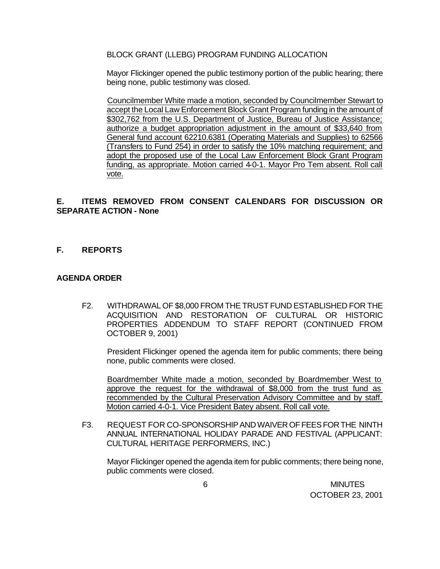BLOCK GRANT (LLEBG) PROGRAM FUNDING ALLOCATION

Mayor Flickinger opened the public testimony portion of the public hearing; there being none, public testimony was closed.

Councilmember White made a motion, seconded by Councilmember Stewart to accept the Local Law Enforcement Block Grant Program funding in the amount of \$302,762 from the U.S. Department of Justice, Bureau of Justice Assistance; authorize a budget appropriation adjustment in the amount of \$33,640 from General fund account 62210.6381 (Operating Materials and Supplies) to 62566 (Transfers to Fund 254) in order to satisfy the 10% matching requirement; and adopt the proposed use of the Local Law Enforcement Block Grant Program funding, as appropriate. Motion carried 4-0-1. Mayor Pro Tem absent. Roll call vote.

## **E. ITEMS REMOVED FROM CONSENT CALENDARS FOR DISCUSSION OR SEPARATE ACTION - None**

#### **F. REPORTS**

#### **AGENDA ORDER**

F2. WITHDRAWAL OF \$8,000 FROM THE TRUST FUND ESTABLISHED FOR THE ACQUISITION AND RESTORATION OF CULTURAL OR HISTORIC PROPERTIES ADDENDUM TO STAFF REPORT (CONTINUED FROM OCTOBER 9, 2001)

President Flickinger opened the agenda item for public comments; there being none, public comments were closed.

Boardmember White made a motion, seconded by Boardmember West to approve the request for the withdrawal of \$8,000 from the trust fund as recommended by the Cultural Preservation Advisory Committee and by staff. Motion carried 4-0-1. Vice President Batey absent. Roll call vote.

F3. REQUEST FOR CO-SPONSORSHIP AND WAIVER OF FEES FOR THE NINTH ANNUAL INTERNATIONAL HOLIDAY PARADE AND FESTIVAL (APPLICANT: CULTURAL HERITAGE PERFORMERS, INC.)

Mayor Flickinger opened the agenda item for public comments; there being none, public comments were closed.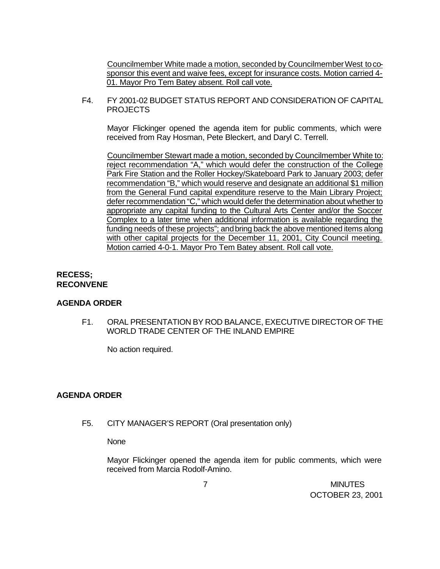Councilmember White made a motion, seconded by Councilmember West to cosponsor this event and waive fees, except for insurance costs. Motion carried 4- 01. Mayor Pro Tem Batey absent. Roll call vote.

F4. FY 2001-02 BUDGET STATUS REPORT AND CONSIDERATION OF CAPITAL PROJECTS

Mayor Flickinger opened the agenda item for public comments, which were received from Ray Hosman, Pete Bleckert, and Daryl C. Terrell.

Councilmember Stewart made a motion, seconded by Councilmember White to: reject recommendation "A," which would defer the construction of the College Park Fire Station and the Roller Hockey/Skateboard Park to January 2003; defer recommendation "B," which would reserve and designate an additional \$1 million from the General Fund capital expenditure reserve to the Main Library Project; defer recommendation "C," which would defer the determination about whether to appropriate any capital funding to the Cultural Arts Center and/or the Soccer Complex to a later time when additional information is available regarding the funding needs of these projects"; and bring back the above mentioned items along with other capital projects for the December 11, 2001, City Council meeting. Motion carried 4-0-1. Mayor Pro Tem Batey absent. Roll call vote.

# **RECESS; RECONVENE**

## **AGENDA ORDER**

F1. ORAL PRESENTATION BY ROD BALANCE, EXECUTIVE DIRECTOR OF THE WORLD TRADE CENTER OF THE INLAND EMPIRE

No action required.

# **AGENDA ORDER**

F5. CITY MANAGER'S REPORT (Oral presentation only)

None

Mayor Flickinger opened the agenda item for public comments, which were received from Marcia Rodolf-Amino.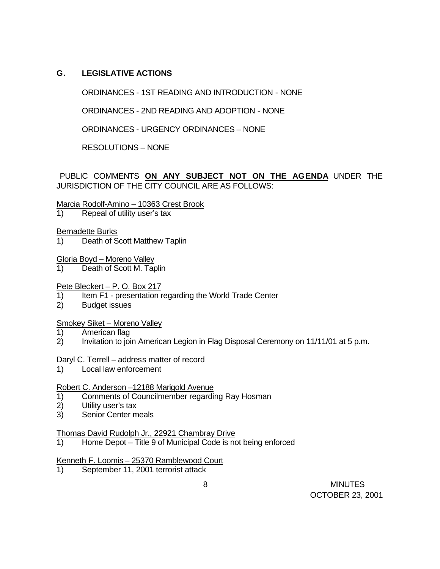# **G. LEGISLATIVE ACTIONS**

ORDINANCES - 1ST READING AND INTRODUCTION - NONE

ORDINANCES - 2ND READING AND ADOPTION - NONE

ORDINANCES - URGENCY ORDINANCES – NONE

RESOLUTIONS – NONE

PUBLIC COMMENTS **ON ANY SUBJECT NOT ON THE AGENDA** UNDER THE JURISDICTION OF THE CITY COUNCIL ARE AS FOLLOWS:

Marcia Rodolf-Amino – 10363 Crest Brook

1) Repeal of utility user's tax

## Bernadette Burks

1) Death of Scott Matthew Taplin

Gloria Boyd – Moreno Valley

1) Death of Scott M. Taplin

## Pete Bleckert – P. O. Box 217

- 1) Item F1 presentation regarding the World Trade Center
- 2) Budget issues

## Smokey Siket – Moreno Valley

- 1) American flag
- 2) Invitation to join American Legion in Flag Disposal Ceremony on 11/11/01 at 5 p.m.

## Daryl C. Terrell – address matter of record

1) Local law enforcement

## Robert C. Anderson –12188 Marigold Avenue

- 1) Comments of Councilmember regarding Ray Hosman
- 2) Utility user's tax
- 3) Senior Center meals

## Thomas David Rudolph Jr., 22921 Chambray Drive

1) Home Depot – Title 9 of Municipal Code is not being enforced

## Kenneth F. Loomis – 25370 Ramblewood Court

1) September 11, 2001 terrorist attack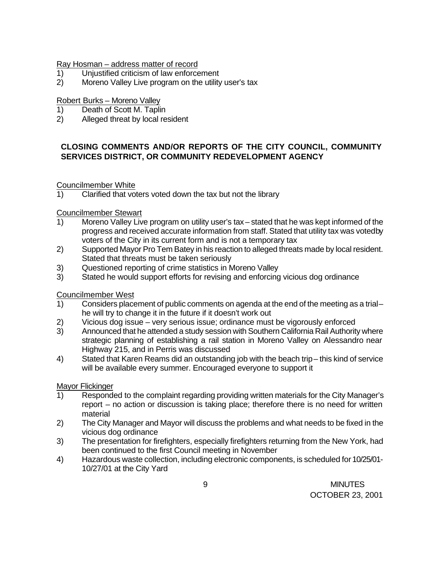## Ray Hosman – address matter of record

- 1) Unjustified criticism of law enforcement
- 2) Moreno Valley Live program on the utility user's tax

## Robert Burks – Moreno Valley

- 1) Death of Scott M. Taplin
- 2) Alleged threat by local resident

# **CLOSING COMMENTS AND/OR REPORTS OF THE CITY COUNCIL, COMMUNITY SERVICES DISTRICT, OR COMMUNITY REDEVELOPMENT AGENCY**

## Councilmember White

1) Clarified that voters voted down the tax but not the library

## Councilmember Stewart

- 1) Moreno Valley Live program on utility user's tax stated that he was kept informed of the progress and received accurate information from staff. Stated that utility tax was voted by voters of the City in its current form and is not a temporary tax
- 2) Supported Mayor Pro Tem Batey in his reaction to alleged threats made by local resident. Stated that threats must be taken seriously
- 3) Questioned reporting of crime statistics in Moreno Valley
- 3) Stated he would support efforts for revising and enforcing vicious dog ordinance

# Councilmember West

- 1) Considers placement of public comments on agenda at the end of the meeting as a trial he will try to change it in the future if it doesn't work out
- 2) Vicious dog issue very serious issue; ordinance must be vigorously enforced
- 3) Announced that he attended a study session with Southern California Rail Authority where strategic planning of establishing a rail station in Moreno Valley on Alessandro near Highway 215, and in Perris was discussed
- 4) Stated that Karen Reams did an outstanding job with the beach trip this kind of service will be available every summer. Encouraged everyone to support it

## Mayor Flickinger

- 1) Responded to the complaint regarding providing written materials for the City Manager's report – no action or discussion is taking place; therefore there is no need for written material
- 2) The City Manager and Mayor will discuss the problems and what needs to be fixed in the vicious dog ordinance
- 3) The presentation for firefighters, especially firefighters returning from the New York, had been continued to the first Council meeting in November
- 4) Hazardous waste collection, including electronic components, is scheduled for 10/25/01- 10/27/01 at the City Yard